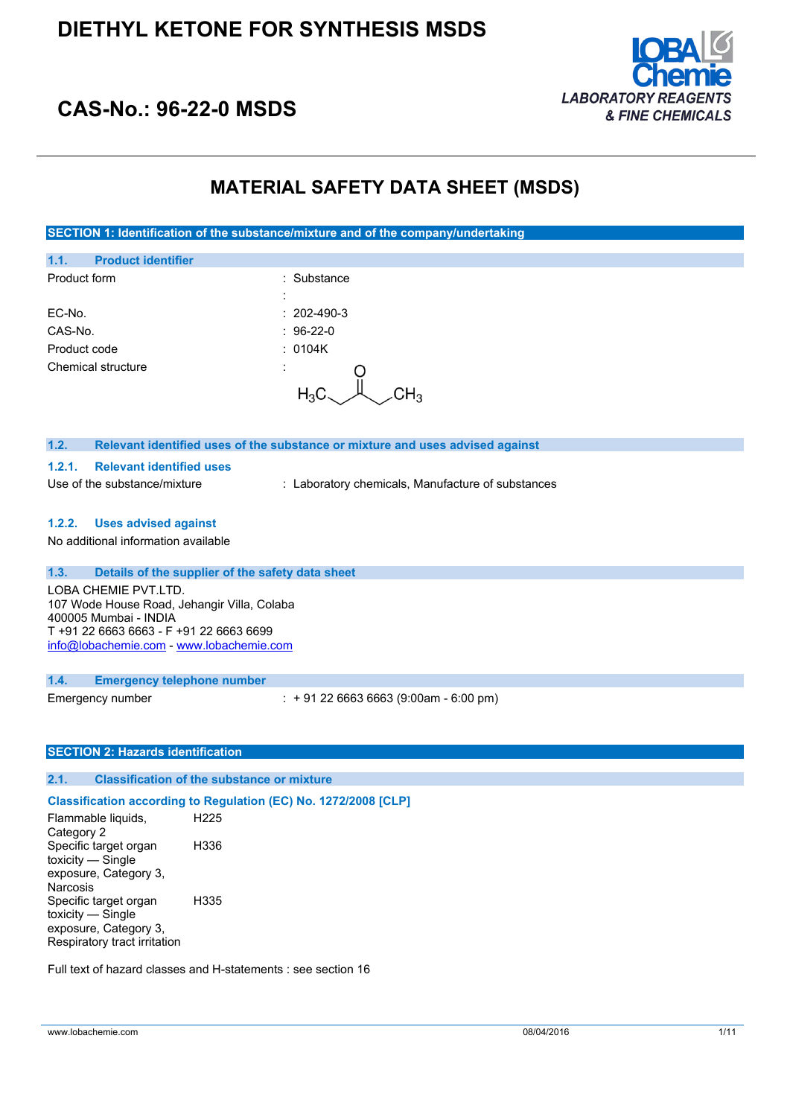

## **CAS-No.: 96-22-0 MSDS**

## **MATERIAL SAFETY DATA SHEET (MSDS)**

**SECTION 1: Identification of the substance/mixture and of the company/undertaking**

| 1.1.<br><b>Product identifier</b>                                         |                                                                               |
|---------------------------------------------------------------------------|-------------------------------------------------------------------------------|
| Product form                                                              | : Substance                                                                   |
| EC-No.                                                                    | $: 202-490-3$                                                                 |
| CAS-No.                                                                   | $: 96-22-0$                                                                   |
| Product code                                                              | : 0104K                                                                       |
| Chemical structure                                                        | $\cdot$<br>$H_3C$                                                             |
| 1.2.                                                                      | Relevant identified uses of the substance or mixture and uses advised against |
| <b>Relevant identified uses</b><br>1.2.1.<br>Use of the substance/mixture | : Laboratory chemicals, Manufacture of substances                             |
| 1.2.2. Uses advised against                                               |                                                                               |
| No additional information available                                       |                                                                               |
| 1.3.<br>Details of the supplier of the safety data sheet                  |                                                                               |
| LORA CHEMIE PVT LTD                                                       |                                                                               |

LOBA CHEMIE PVT.LTD. 107 Wode House Road, Jehangir Villa, Colaba 400005 Mumbai - INDIA T +91 22 6663 6663 - F +91 22 6663 6699 [info@lobachemie.com](mailto:info@lobachemie.com) - <www.lobachemie.com>

#### **1.4. Emergency telephone number**

Emergency number : + 91 22 6663 6663 (9:00am - 6:00 pm)

## **SECTION 2: Hazards identification**

## **2.1. Classification of the substance or mixture**

#### **Classification according to Regulation (EC) No. 1272/2008 [CLP]**

Flammable liquids, Category 2 H225 Specific target organ toxicity — Single exposure, Category 3, **Narcosis** H336 Specific target organ toxicity — Single exposure, Category 3, Respiratory tract irritation H335

Full text of hazard classes and H-statements : see section 16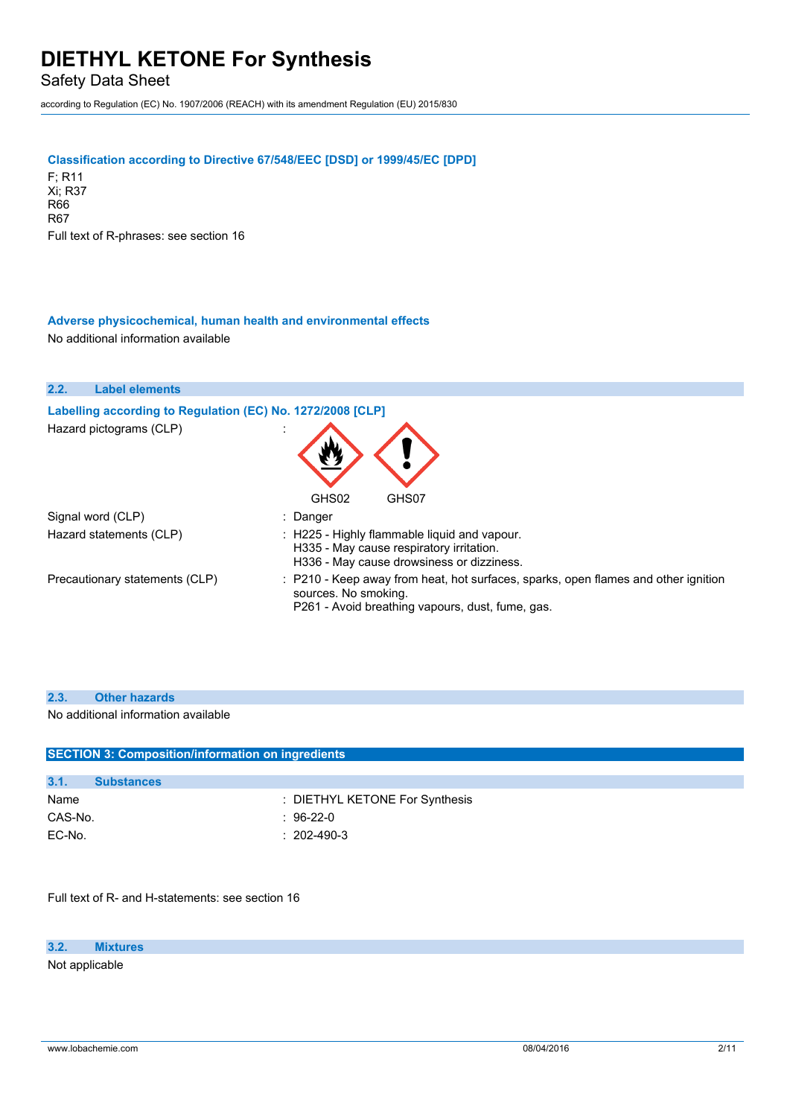Safety Data Sheet

according to Regulation (EC) No. 1907/2006 (REACH) with its amendment Regulation (EU) 2015/830

#### **Classification according to Directive 67/548/EEC [DSD] or 1999/45/EC [DPD]**

F; R11 Xi; R37 R66 R67 Full text of R-phrases: see section 16

## **Adverse physicochemical, human health and environmental effects**

No additional information available

| 2.2.<br><b>Label elements</b>                              |                                                                                                                                                                |
|------------------------------------------------------------|----------------------------------------------------------------------------------------------------------------------------------------------------------------|
| Labelling according to Regulation (EC) No. 1272/2008 [CLP] |                                                                                                                                                                |
| Hazard pictograms (CLP)                                    |                                                                                                                                                                |
|                                                            | GHS02<br>GHS07                                                                                                                                                 |
| Signal word (CLP)                                          | : Danger                                                                                                                                                       |
| Hazard statements (CLP)                                    | $\therefore$ H225 - Highly flammable liquid and vapour.<br>H335 - May cause respiratory irritation.<br>H336 - May cause drowsiness or dizziness.               |
| Precautionary statements (CLP)                             | : P210 - Keep away from heat, hot surfaces, sparks, open flames and other ignition<br>sources. No smoking.<br>P261 - Avoid breathing vapours, dust, fume, gas. |

#### **2.3. Other hazards**

No additional information available

| <b>SECTION 3: Composition/information on ingredients</b> |                   |                                |  |
|----------------------------------------------------------|-------------------|--------------------------------|--|
|                                                          |                   |                                |  |
| 3.1.                                                     | <b>Substances</b> |                                |  |
| Name                                                     |                   | : DIETHYL KETONE For Synthesis |  |
| CAS-No.                                                  |                   | $: 96-22-0$                    |  |
| EC-No.                                                   |                   | $: 202 - 490 - 3$              |  |

Full text of R- and H-statements: see section 16

#### **3.2. Mixtures**

Not applicable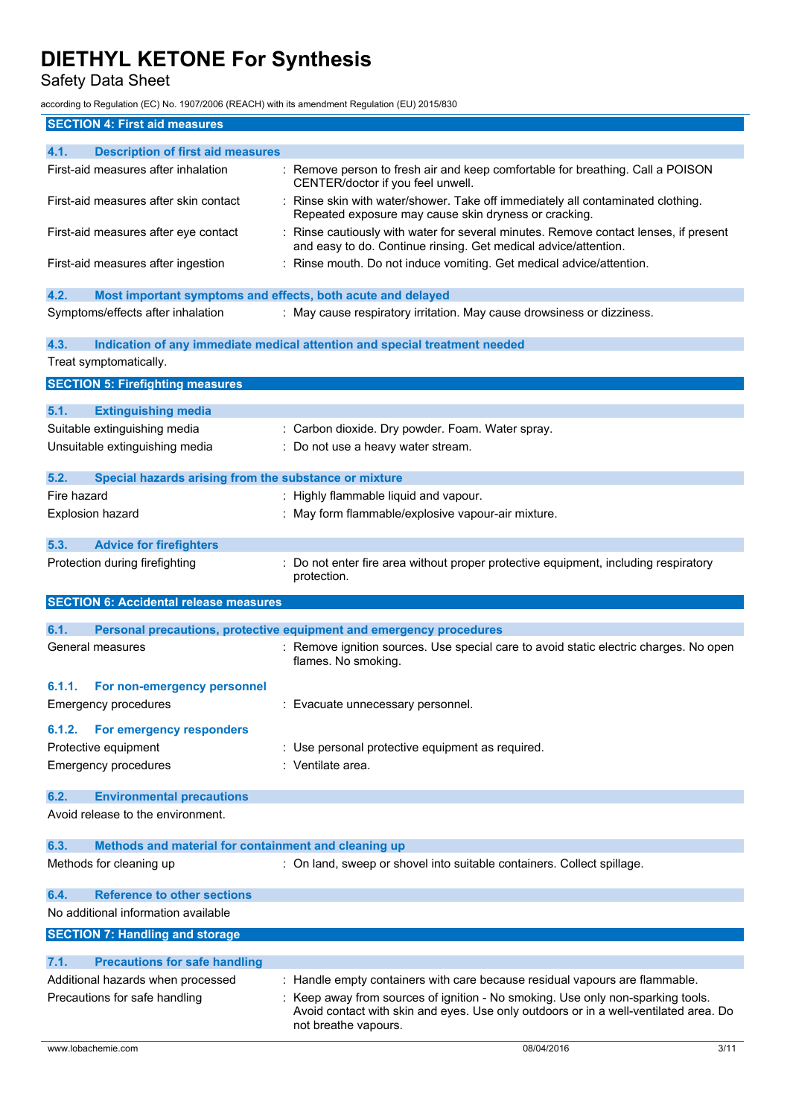Safety Data Sheet

according to Regulation (EC) No. 1907/2006 (REACH) with its amendment Regulation (EU) 2015/830

| <b>SECTION 4: First aid measures</b>                                |                                                                                                                                                                                                 |
|---------------------------------------------------------------------|-------------------------------------------------------------------------------------------------------------------------------------------------------------------------------------------------|
| 4.1.<br><b>Description of first aid measures</b>                    |                                                                                                                                                                                                 |
| First-aid measures after inhalation                                 | : Remove person to fresh air and keep comfortable for breathing. Call a POISON<br>CENTER/doctor if you feel unwell.                                                                             |
| First-aid measures after skin contact                               | : Rinse skin with water/shower. Take off immediately all contaminated clothing.<br>Repeated exposure may cause skin dryness or cracking.                                                        |
| First-aid measures after eye contact                                | : Rinse cautiously with water for several minutes. Remove contact lenses, if present<br>and easy to do. Continue rinsing. Get medical advice/attention.                                         |
| First-aid measures after ingestion                                  | : Rinse mouth. Do not induce vomiting. Get medical advice/attention.                                                                                                                            |
| 4.2.<br>Most important symptoms and effects, both acute and delayed |                                                                                                                                                                                                 |
| Symptoms/effects after inhalation                                   | : May cause respiratory irritation. May cause drowsiness or dizziness.                                                                                                                          |
| 4.3.                                                                | Indication of any immediate medical attention and special treatment needed                                                                                                                      |
| Treat symptomatically.                                              |                                                                                                                                                                                                 |
| <b>SECTION 5: Firefighting measures</b>                             |                                                                                                                                                                                                 |
| 5.1.<br><b>Extinguishing media</b>                                  |                                                                                                                                                                                                 |
| Suitable extinguishing media                                        | : Carbon dioxide. Dry powder. Foam. Water spray.                                                                                                                                                |
| Unsuitable extinguishing media                                      | : Do not use a heavy water stream.                                                                                                                                                              |
|                                                                     |                                                                                                                                                                                                 |
| 5.2.<br>Special hazards arising from the substance or mixture       |                                                                                                                                                                                                 |
| Fire hazard                                                         | : Highly flammable liquid and vapour.                                                                                                                                                           |
| Explosion hazard                                                    | : May form flammable/explosive vapour-air mixture.                                                                                                                                              |
| 5.3.<br><b>Advice for firefighters</b>                              |                                                                                                                                                                                                 |
| Protection during firefighting                                      | : Do not enter fire area without proper protective equipment, including respiratory<br>protection.                                                                                              |
| <b>SECTION 6: Accidental release measures</b>                       |                                                                                                                                                                                                 |
| 6.1.                                                                |                                                                                                                                                                                                 |
| General measures                                                    | Personal precautions, protective equipment and emergency procedures<br>: Remove ignition sources. Use special care to avoid static electric charges. No open                                    |
|                                                                     | flames. No smoking.                                                                                                                                                                             |
| 6.1.1.<br>For non-emergency personnel                               |                                                                                                                                                                                                 |
| <b>Emergency procedures</b>                                         | Evacuate unnecessary personnel.                                                                                                                                                                 |
| 6.1.2.<br>For emergency responders                                  |                                                                                                                                                                                                 |
| Protective equipment                                                | : Use personal protective equipment as required.                                                                                                                                                |
| <b>Emergency procedures</b>                                         | : Ventilate area.                                                                                                                                                                               |
| 6.2.<br><b>Environmental precautions</b>                            |                                                                                                                                                                                                 |
| Avoid release to the environment.                                   |                                                                                                                                                                                                 |
| 6.3.<br>Methods and material for containment and cleaning up        |                                                                                                                                                                                                 |
| Methods for cleaning up                                             | : On land, sweep or shovel into suitable containers. Collect spillage.                                                                                                                          |
| <b>Reference to other sections</b><br>6.4.                          |                                                                                                                                                                                                 |
| No additional information available                                 |                                                                                                                                                                                                 |
| <b>SECTION 7: Handling and storage</b>                              |                                                                                                                                                                                                 |
| 7.1.<br><b>Precautions for safe handling</b>                        |                                                                                                                                                                                                 |
| Additional hazards when processed                                   | : Handle empty containers with care because residual vapours are flammable.                                                                                                                     |
| Precautions for safe handling                                       | : Keep away from sources of ignition - No smoking. Use only non-sparking tools.<br>Avoid contact with skin and eyes. Use only outdoors or in a well-ventilated area. Do<br>not breathe vapours. |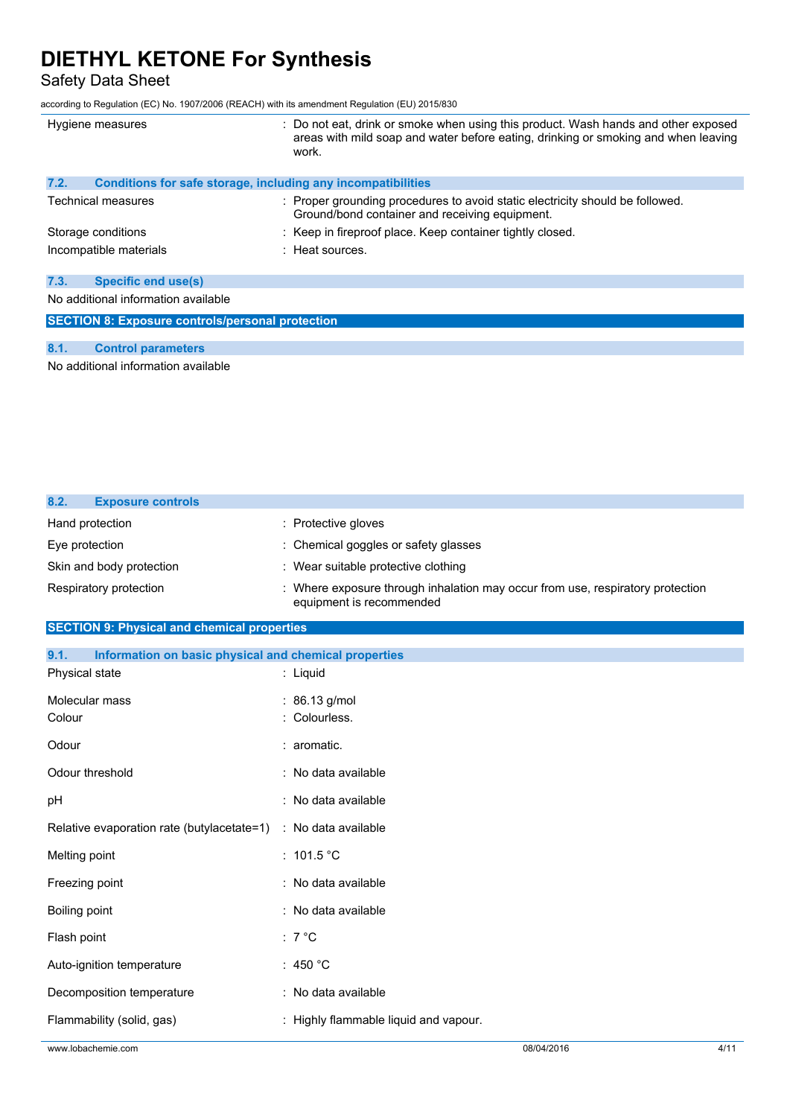Safety Data Sheet

according to Regulation (EC) No. 1907/2006 (REACH) with its amendment Regulation (EU) 2015/830

| Hygiene measures                                                     | : Do not eat, drink or smoke when using this product. Wash hands and other exposed<br>areas with mild soap and water before eating, drinking or smoking and when leaving<br>work. |  |
|----------------------------------------------------------------------|-----------------------------------------------------------------------------------------------------------------------------------------------------------------------------------|--|
| 7.2.<br>Conditions for safe storage, including any incompatibilities |                                                                                                                                                                                   |  |
| Technical measures                                                   | : Proper grounding procedures to avoid static electricity should be followed.<br>Ground/bond container and receiving equipment.                                                   |  |
| Storage conditions                                                   | : Keep in fireproof place. Keep container tightly closed.                                                                                                                         |  |
| Incompatible materials                                               | : Heat sources.                                                                                                                                                                   |  |
|                                                                      |                                                                                                                                                                                   |  |
| 7.3.<br><b>Specific end use(s)</b>                                   |                                                                                                                                                                                   |  |
| No additional information available                                  |                                                                                                                                                                                   |  |
| <b>SECTION 8: Exposure controls/personal protection</b>              |                                                                                                                                                                                   |  |

#### **8.1. Control parameters**

No additional information available

| 8.2.<br><b>Exposure controls</b> |                                                                                                          |
|----------------------------------|----------------------------------------------------------------------------------------------------------|
| Hand protection                  | : Protective gloves                                                                                      |
| Eye protection                   | : Chemical goggles or safety glasses                                                                     |
| Skin and body protection         | : Wear suitable protective clothing                                                                      |
| Respiratory protection           | Where exposure through inhalation may occur from use, respiratory protection<br>equipment is recommended |

## **SECTION 9: Physical and chemical properties**

| 9.1.<br>Information on basic physical and chemical properties |                                       |            |      |
|---------------------------------------------------------------|---------------------------------------|------------|------|
| Physical state                                                | : Liquid                              |            |      |
| Molecular mass                                                | : 86.13 g/mol                         |            |      |
| Colour                                                        | : Colourless.                         |            |      |
| Odour                                                         | : aromatic.                           |            |      |
| Odour threshold                                               | : No data available                   |            |      |
| pH                                                            | : No data available                   |            |      |
| Relative evaporation rate (butylacetate=1)                    | : No data available                   |            |      |
| Melting point                                                 | : $101.5 °C$                          |            |      |
| Freezing point                                                | : No data available                   |            |      |
| Boiling point                                                 | : No data available                   |            |      |
| Flash point                                                   | $: 7^{\circ}C$                        |            |      |
| Auto-ignition temperature                                     | : 450 $^{\circ}$ C                    |            |      |
| Decomposition temperature                                     | : No data available                   |            |      |
| Flammability (solid, gas)                                     | : Highly flammable liquid and vapour. |            |      |
| www.lobachemie.com                                            |                                       | 08/04/2016 | 4/11 |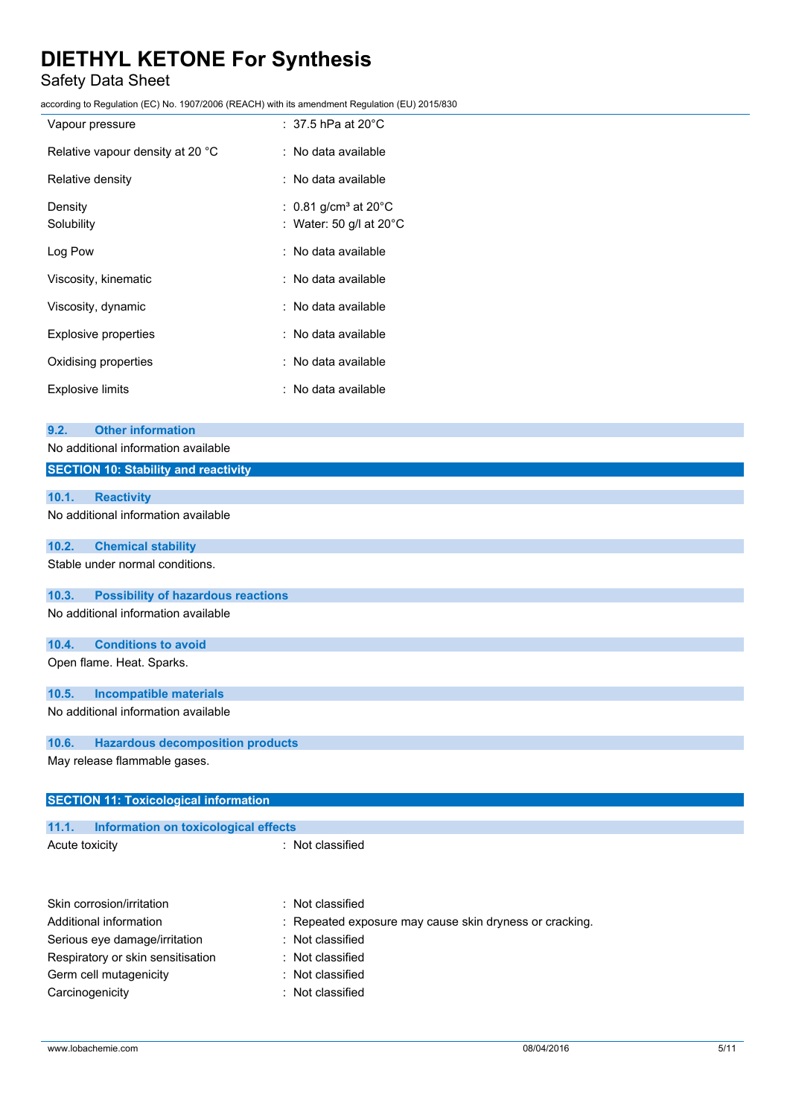## Safety Data Sheet

|                                                    | according to Regulation (EC) No. 1907/2006 (REACH) with its amendment Regulation (EU) 2015/830 |
|----------------------------------------------------|------------------------------------------------------------------------------------------------|
| Vapour pressure                                    | $:~37.5$ hPa at 20°C $\,$                                                                      |
| Relative vapour density at 20 °C                   | : No data available                                                                            |
| Relative density                                   | : No data available                                                                            |
| Density                                            | 0.81 g/cm <sup>3</sup> at $20^{\circ}$ C                                                       |
| Solubility                                         | : Water: 50 g/l at 20°C                                                                        |
| Log Pow                                            | : No data available                                                                            |
| Viscosity, kinematic                               | : No data available                                                                            |
| Viscosity, dynamic                                 | No data available                                                                              |
| Explosive properties                               | : No data available                                                                            |
| Oxidising properties                               | No data available                                                                              |
| <b>Explosive limits</b>                            | : No data available                                                                            |
|                                                    |                                                                                                |
| <b>Other information</b><br>9.2.                   |                                                                                                |
| No additional information available                |                                                                                                |
| <b>SECTION 10: Stability and reactivity</b>        |                                                                                                |
| 10.1.<br><b>Reactivity</b>                         |                                                                                                |
| No additional information available                |                                                                                                |
| <b>Chemical stability</b><br>10.2.                 |                                                                                                |
| Stable under normal conditions.                    |                                                                                                |
| 10.3.<br><b>Possibility of hazardous reactions</b> |                                                                                                |
| No additional information available                |                                                                                                |
| <b>Conditions to avoid</b><br>10.4.                |                                                                                                |
| Open flame. Heat. Sparks.                          |                                                                                                |
| 10.5.<br><b>Incompatible materials</b>             |                                                                                                |
| No additional information available                |                                                                                                |

## **10.6. Hazardous decomposition products**

May release flammable gases.

| <b>SECTION 11: Toxicological information</b>  |                                                         |  |
|-----------------------------------------------|---------------------------------------------------------|--|
|                                               |                                                         |  |
| 11.1.<br>Information on toxicological effects |                                                         |  |
| Acute toxicity                                | : Not classified                                        |  |
|                                               |                                                         |  |
|                                               |                                                         |  |
| Skin corrosion/irritation                     | Not classified                                          |  |
| Additional information                        | : Repeated exposure may cause skin dryness or cracking. |  |
| Serious eye damage/irritation                 | : Not classified                                        |  |
| Respiratory or skin sensitisation             | : Not classified                                        |  |
| Germ cell mutagenicity                        | Not classified                                          |  |

Carcinogenicity **Carcinogenicity 1989**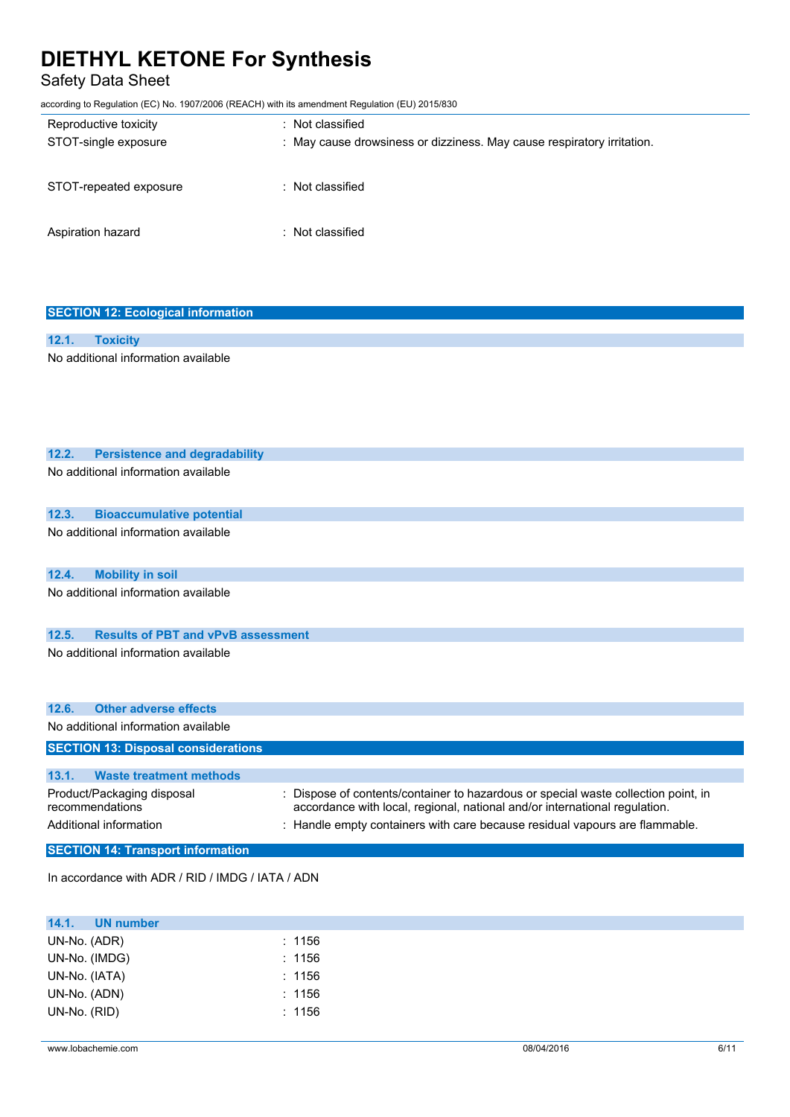Safety Data Sheet

according to Regulation (EC) No. 1907/2006 (REACH) with its amendment Regulation (EU) 2015/830

| Reproductive toxicity<br>STOT-single exposure | : Not classified<br>: May cause drowsiness or dizziness. May cause respiratory irritation. |
|-----------------------------------------------|--------------------------------------------------------------------------------------------|
| STOT-repeated exposure                        | : Not classified                                                                           |
| Aspiration hazard                             | : Not classified                                                                           |

| <b>SECTION 12: Ecological information</b>                       |                                                                                  |
|-----------------------------------------------------------------|----------------------------------------------------------------------------------|
|                                                                 |                                                                                  |
| 12.1.<br><b>Toxicity</b><br>No additional information available |                                                                                  |
|                                                                 |                                                                                  |
|                                                                 |                                                                                  |
|                                                                 |                                                                                  |
|                                                                 |                                                                                  |
|                                                                 |                                                                                  |
| 12.2.<br><b>Persistence and degradability</b>                   |                                                                                  |
| No additional information available                             |                                                                                  |
|                                                                 |                                                                                  |
| 12.3.<br><b>Bioaccumulative potential</b>                       |                                                                                  |
| No additional information available                             |                                                                                  |
|                                                                 |                                                                                  |
|                                                                 |                                                                                  |
| 12.4.<br><b>Mobility in soil</b>                                |                                                                                  |
| No additional information available                             |                                                                                  |
|                                                                 |                                                                                  |
| <b>Results of PBT and vPvB assessment</b><br>12.5.              |                                                                                  |
| No additional information available                             |                                                                                  |
|                                                                 |                                                                                  |
|                                                                 |                                                                                  |
| 12.6.<br><b>Other adverse effects</b>                           |                                                                                  |
| No additional information available                             |                                                                                  |
| <b>SECTION 13: Disposal considerations</b>                      |                                                                                  |
|                                                                 |                                                                                  |
| <b>Waste treatment methods</b><br>13.1.                         |                                                                                  |
| Product/Packaging disposal                                      | Dispose of contents/container to hazardous or special waste collection point, in |
| recommendations                                                 | accordance with local, regional, national and/or international regulation.       |
| Additional information                                          | : Handle empty containers with care because residual vapours are flammable.      |
| <b>SECTION 14: Transport information</b>                        |                                                                                  |

In accordance with ADR / RID / IMDG / IATA / ADN

| 14.1.<br><b>UN number</b> |        |  |
|---------------------------|--------|--|
| UN-No. (ADR)              | : 1156 |  |
| UN-No. (IMDG)             | : 1156 |  |
| UN-No. (IATA)             | : 1156 |  |
| UN-No. (ADN)              | : 1156 |  |
| UN-No. (RID)              | : 1156 |  |
|                           |        |  |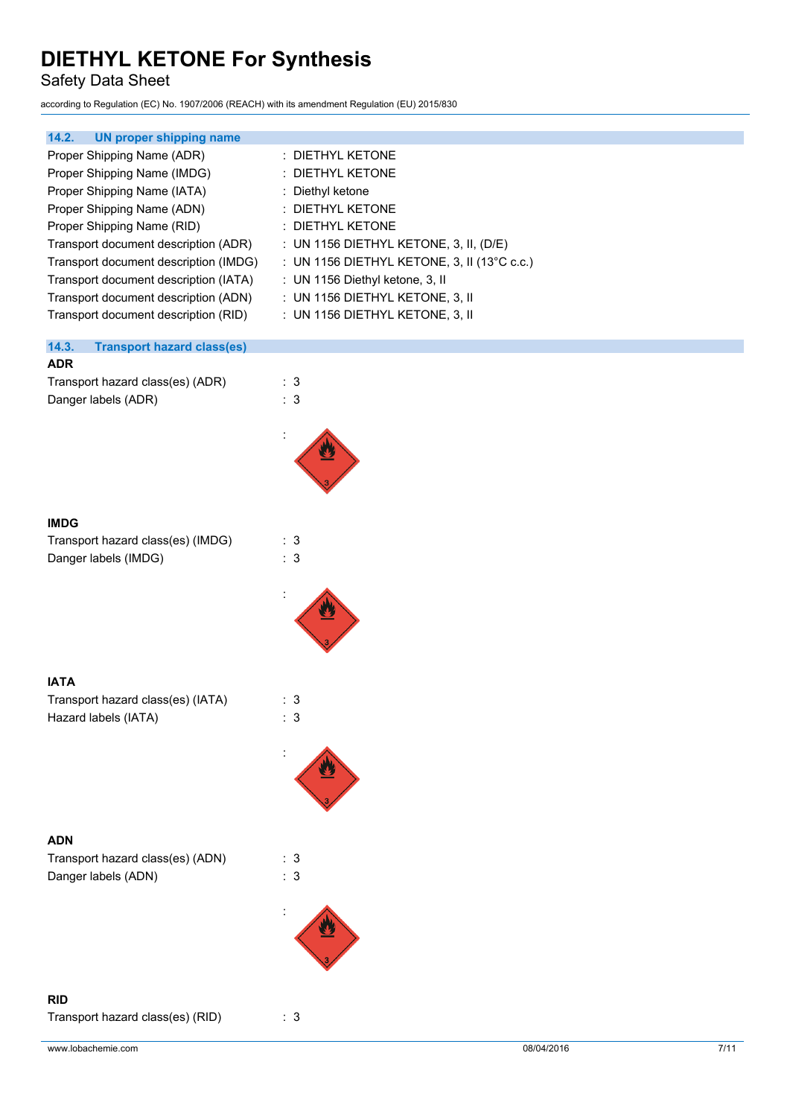Safety Data Sheet

according to Regulation (EC) No. 1907/2006 (REACH) with its amendment Regulation (EU) 2015/830

| 14.2.<br><b>UN proper shipping name</b>                                                                                                                                                                                                                                                                                                                        | : DIETHYL KETONE                                                                                                                                                                                                                                                             |
|----------------------------------------------------------------------------------------------------------------------------------------------------------------------------------------------------------------------------------------------------------------------------------------------------------------------------------------------------------------|------------------------------------------------------------------------------------------------------------------------------------------------------------------------------------------------------------------------------------------------------------------------------|
| Proper Shipping Name (ADR)<br>Proper Shipping Name (IMDG)<br>Proper Shipping Name (IATA)<br>Proper Shipping Name (ADN)<br>Proper Shipping Name (RID)<br>Transport document description (ADR)<br>Transport document description (IMDG)<br>Transport document description (IATA)<br>Transport document description (ADN)<br>Transport document description (RID) | : DIETHYL KETONE<br>: Diethyl ketone<br>DIETHYL KETONE<br>: DIETHYL KETONE<br>: UN 1156 DIETHYL KETONE, 3, II, (D/E)<br>: UN 1156 DIETHYL KETONE, 3, II (13°C c.c.)<br>: UN 1156 Diethyl ketone, 3, II<br>: UN 1156 DIETHYL KETONE, 3, II<br>: UN 1156 DIETHYL KETONE, 3, II |
| 14.3.<br><b>Transport hazard class(es)</b>                                                                                                                                                                                                                                                                                                                     |                                                                                                                                                                                                                                                                              |
| <b>ADR</b>                                                                                                                                                                                                                                                                                                                                                     |                                                                                                                                                                                                                                                                              |
| Transport hazard class(es) (ADR)<br>Danger labels (ADR)                                                                                                                                                                                                                                                                                                        | : 3<br>: 3                                                                                                                                                                                                                                                                   |
|                                                                                                                                                                                                                                                                                                                                                                |                                                                                                                                                                                                                                                                              |
| <b>IMDG</b><br>Transport hazard class(es) (IMDG)<br>Danger labels (IMDG)                                                                                                                                                                                                                                                                                       | : 3<br>: 3                                                                                                                                                                                                                                                                   |
|                                                                                                                                                                                                                                                                                                                                                                |                                                                                                                                                                                                                                                                              |
|                                                                                                                                                                                                                                                                                                                                                                |                                                                                                                                                                                                                                                                              |
| <b>IATA</b><br>Transport hazard class(es) (IATA)<br>Hazard labels (IATA)                                                                                                                                                                                                                                                                                       | : 3<br>: 3                                                                                                                                                                                                                                                                   |
|                                                                                                                                                                                                                                                                                                                                                                |                                                                                                                                                                                                                                                                              |
| <b>ADN</b>                                                                                                                                                                                                                                                                                                                                                     |                                                                                                                                                                                                                                                                              |
| Transport hazard class(es) (ADN)<br>Danger labels (ADN)                                                                                                                                                                                                                                                                                                        | : 3<br>: 3                                                                                                                                                                                                                                                                   |
|                                                                                                                                                                                                                                                                                                                                                                |                                                                                                                                                                                                                                                                              |
| <b>RID</b><br>Transport hazard class(es) (RID)                                                                                                                                                                                                                                                                                                                 | : 3                                                                                                                                                                                                                                                                          |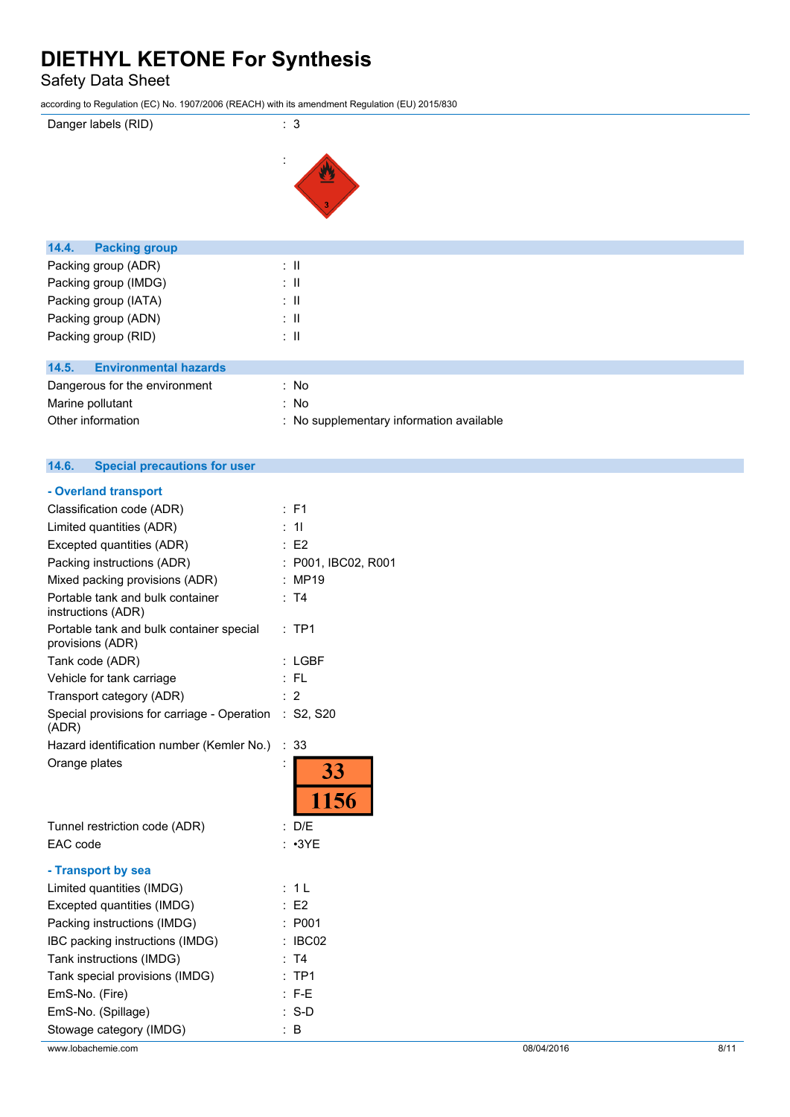Safety Data Sheet

according to Regulation (EC) No. 1907/2006 (REACH) with its amendment Regulation (EU) 2015/830

# Danger labels (RID) : 3 : W **14.4. Packing group**

| $14.4.$ rayning group                 |                                          |
|---------------------------------------|------------------------------------------|
| Packing group (ADR)                   | ÷Ш                                       |
| Packing group (IMDG)                  | ÷Ш                                       |
| Packing group (IATA)                  | ÷Ш                                       |
| Packing group (ADN)                   | ÷Ш                                       |
| Packing group (RID)                   | ÷Ш                                       |
|                                       |                                          |
| <b>Environmental hazards</b><br>14.5. |                                          |
| Dangerous for the environment         | : No                                     |
| Marine pollutant                      | : No                                     |
| Other information                     | : No supplementary information available |

## **14.6. Special precautions for user**

| F <sub>1</sub><br>÷.                                     |
|----------------------------------------------------------|
| 11                                                       |
| E2                                                       |
| P001, IBC02, R001                                        |
| <b>MP19</b>                                              |
| T4                                                       |
| TP <sub>1</sub>                                          |
| <b>LGBF</b>                                              |
| $:$ FL                                                   |
| 2                                                        |
| Special provisions for carriage - Operation<br>: S2, S20 |
| 33<br>÷                                                  |
| 33<br>1156                                               |
| : D/E                                                    |
| : 3YE                                                    |
|                                                          |
| : 1L                                                     |
| E <sub>2</sub>                                           |
| P001                                                     |
| IBC02                                                    |
| T4                                                       |
| TP <sub>1</sub><br>$\ddot{\phantom{0}}$                  |
| $F-E$                                                    |
| : S-D                                                    |
| : В                                                      |
|                                                          |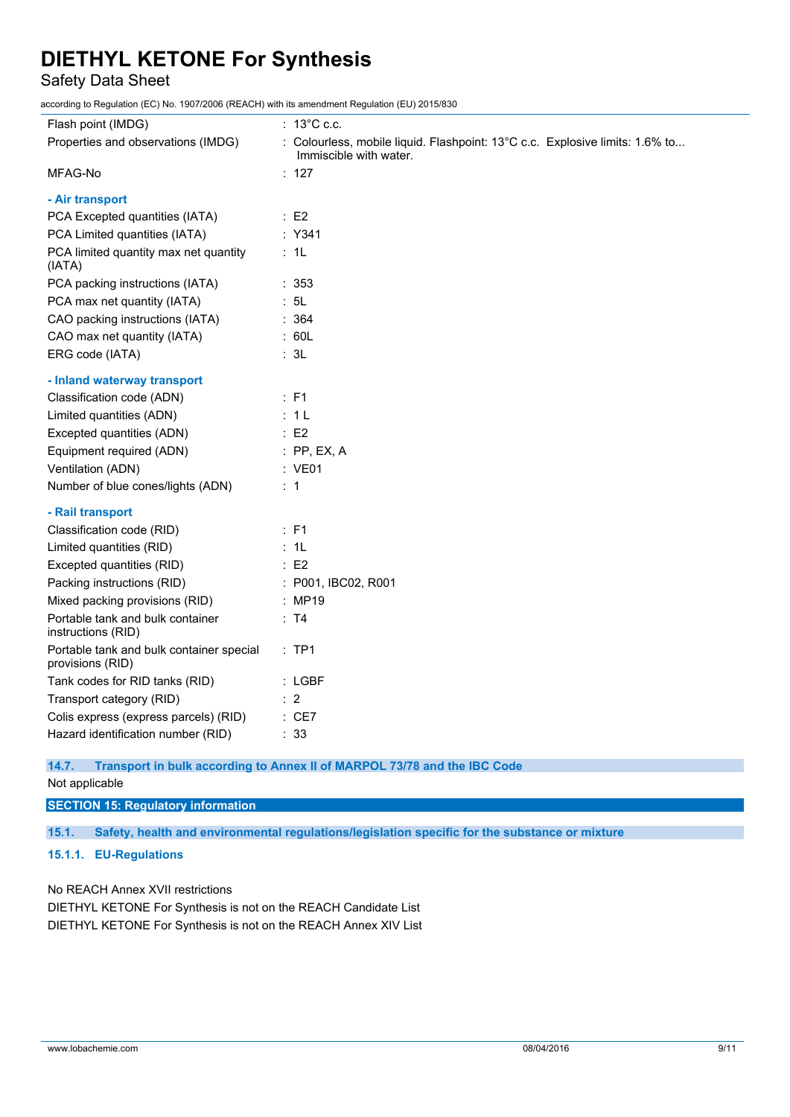Safety Data Sheet

according to Regulation (EC) No. 1907/2006 (REACH) with its amendment Regulation (EU) 2015/830

| Flash point (IMDG)                                           | $: 13^{\circ}$ C c.c.                                                                                  |
|--------------------------------------------------------------|--------------------------------------------------------------------------------------------------------|
| Properties and observations (IMDG)                           | : Colourless, mobile liquid. Flashpoint: 13°C c.c. Explosive limits: 1.6% to<br>Immiscible with water. |
| MFAG-No                                                      | : $127$                                                                                                |
| - Air transport                                              |                                                                                                        |
| PCA Excepted quantities (IATA)                               | $\therefore$ E2                                                                                        |
| PCA Limited quantities (IATA)                                | : Y341                                                                                                 |
| PCA limited quantity max net quantity<br>(IATA)              | : 1L                                                                                                   |
| PCA packing instructions (IATA)                              | :353                                                                                                   |
| PCA max net quantity (IATA)                                  | : 5L                                                                                                   |
| CAO packing instructions (IATA)                              | : 364                                                                                                  |
| CAO max net quantity (IATA)                                  | : 60L                                                                                                  |
| ERG code (IATA)                                              | : 3L                                                                                                   |
| - Inland waterway transport                                  |                                                                                                        |
| Classification code (ADN)                                    | $\therefore$ F1                                                                                        |
| Limited quantities (ADN)                                     | : 1L                                                                                                   |
| Excepted quantities (ADN)                                    | $\therefore$ E2                                                                                        |
| Equipment required (ADN)                                     | $:$ PP, EX, A                                                                                          |
| Ventilation (ADN)                                            | : VE01                                                                                                 |
| Number of blue cones/lights (ADN)                            | : 1                                                                                                    |
| - Rail transport                                             |                                                                                                        |
| Classification code (RID)                                    | $E$ F1                                                                                                 |
| Limited quantities (RID)                                     | : 1L                                                                                                   |
| Excepted quantities (RID)                                    | $\therefore$ E2                                                                                        |
| Packing instructions (RID)                                   | : P001, IBC02, R001                                                                                    |
| Mixed packing provisions (RID)                               | : MP19                                                                                                 |
| Portable tank and bulk container<br>instructions (RID)       | : T4                                                                                                   |
| Portable tank and bulk container special<br>provisions (RID) | $:$ TP1                                                                                                |
| Tank codes for RID tanks (RID)                               | $:$ LGBF                                                                                               |
| Transport category (RID)                                     | $\therefore$ 2                                                                                         |
| Colis express (express parcels) (RID)                        | $:$ CE7                                                                                                |
| Hazard identification number (RID)                           | : 33                                                                                                   |
| 14.7.                                                        | Transport in bulk according to Annex II of MARPOL 73/78 and the IBC Code                               |

## Not applicable

**SECTION 15: Regulatory information 15.1. Safety, health and environmental regulations/legislation specific for the substance or mixture 15.1.1. EU-Regulations**

No REACH Annex XVII restrictions DIETHYL KETONE For Synthesis is not on the REACH Candidate List DIETHYL KETONE For Synthesis is not on the REACH Annex XIV List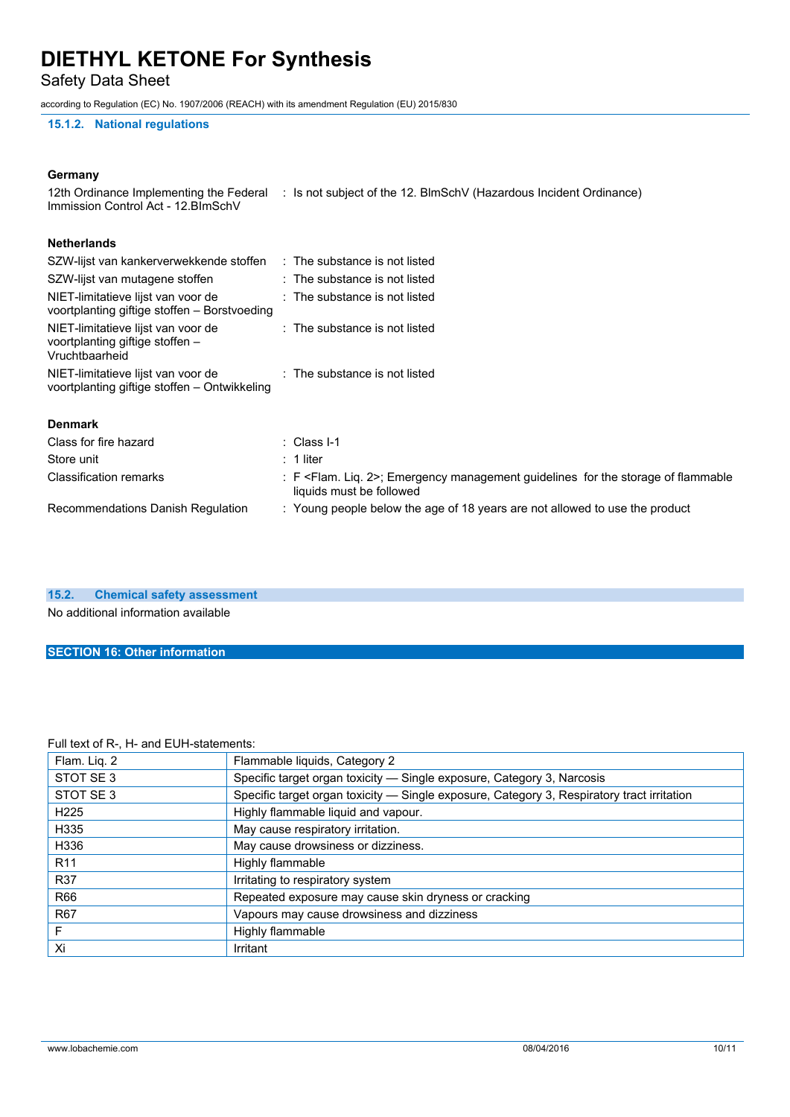Safety Data Sheet

according to Regulation (EC) No. 1907/2006 (REACH) with its amendment Regulation (EU) 2015/830

#### **15.1.2. National regulations**

#### **Germany**

| 12th Ordinance Implementing the Federal | : Is not subject of the 12. BlmSchV (Hazardous Incident Ordinance)                                                          |
|-----------------------------------------|-----------------------------------------------------------------------------------------------------------------------------|
|                                         |                                                                                                                             |
| SZW-lijst van kankerverwekkende stoffen | $\therefore$ The substance is not listed                                                                                    |
|                                         | : The substance is not listed                                                                                               |
|                                         | $\therefore$ The substance is not listed                                                                                    |
|                                         | : The substance is not listed                                                                                               |
|                                         | : The substance is not listed                                                                                               |
|                                         |                                                                                                                             |
|                                         | : Class I-1                                                                                                                 |
|                                         | $: 1$ liter                                                                                                                 |
|                                         | : F <flam. 2="" liq.="">; Emergency management guidelines for the storage of flammable<br/>liquids must be followed</flam.> |
|                                         | : Young people below the age of 18 years are not allowed to use the product                                                 |
|                                         |                                                                                                                             |

#### **15.2. Chemical safety assessment**

No additional information available

#### **SECTION 16: Other information**

#### Full text of R-, H- and EUH-statements:

| Flam. Liq. 2     | Flammable liquids, Category 2                                                              |  |
|------------------|--------------------------------------------------------------------------------------------|--|
| STOT SE 3        | Specific target organ toxicity - Single exposure, Category 3, Narcosis                     |  |
| STOT SE3         | Specific target organ toxicity - Single exposure, Category 3, Respiratory tract irritation |  |
| H <sub>225</sub> | Highly flammable liquid and vapour.                                                        |  |
| H335             | May cause respiratory irritation.                                                          |  |
| H336             | May cause drowsiness or dizziness.                                                         |  |
| R <sub>11</sub>  | Highly flammable                                                                           |  |
| <b>R37</b>       | Irritating to respiratory system                                                           |  |
| R66              | Repeated exposure may cause skin dryness or cracking                                       |  |
| <b>R67</b>       | Vapours may cause drowsiness and dizziness                                                 |  |
| F                | Highly flammable                                                                           |  |
| Xi               | Irritant                                                                                   |  |